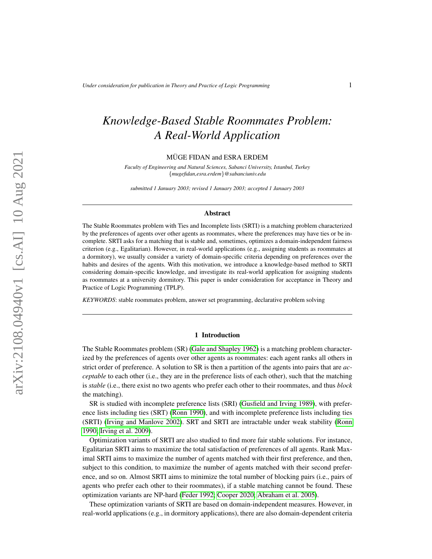# *Knowledge-Based Stable Roommates Problem: A Real-World Application*

MÜGE FIDAN and ESRA ERDEM

*Faculty of Engineering and Natural Sciences, Sabanci University, Istanbul, Turkey* {*mugefidan,esra.erdem*}*@sabanciuniv.edu*

*submitted 1 January 2003; revised 1 January 2003; accepted 1 January 2003*

## Abstract

The Stable Roommates problem with Ties and Incomplete lists (SRTI) is a matching problem characterized by the preferences of agents over other agents as roommates, where the preferences may have ties or be incomplete. SRTI asks for a matching that is stable and, sometimes, optimizes a domain-independent fairness criterion (e.g., Egalitarian). However, in real-world applications (e.g., assigning students as roommates at a dormitory), we usually consider a variety of domain-specific criteria depending on preferences over the habits and desires of the agents. With this motivation, we introduce a knowledge-based method to SRTI considering domain-specific knowledge, and investigate its real-world application for assigning students as roommates at a university dormitory. This paper is under consideration for acceptance in Theory and Practice of Logic Programming (TPLP).

*KEYWORDS*: stable roommates problem, answer set programming, declarative problem solving

#### 1 Introduction

The Stable Roommates problem (SR) [\(Gale and Shapley 1962\)](#page-16-0) is a matching problem characterized by the preferences of agents over other agents as roommates: each agent ranks all others in strict order of preference. A solution to SR is then a partition of the agents into pairs that are *acceptable* to each other (i.e., they are in the preference lists of each other), such that the matching is *stable* (i.e., there exist no two agents who prefer each other to their roommates, and thus *block* the matching).

SR is studied with incomplete preference lists (SRI) [\(Gusfield and Irving 1989\)](#page-17-0), with preference lists including ties (SRT) [\(Ronn 1990\)](#page-17-1), and with incomplete preference lists including ties (SRTI) [\(Irving and Manlove 2002\)](#page-17-2). SRT and SRTI are intractable under weak stability [\(Ronn](#page-17-1) [1990;](#page-17-1) [Irving et al. 2009\)](#page-17-3).

Optimization variants of SRTI are also studied to find more fair stable solutions. For instance, Egalitarian SRTI aims to maximize the total satisfaction of preferences of all agents. Rank Maximal SRTI aims to maximize the number of agents matched with their first preference, and then, subject to this condition, to maximize the number of agents matched with their second preference, and so on. Almost SRTI aims to minimize the total number of blocking pairs (i.e., pairs of agents who prefer each other to their roommates), if a stable matching cannot be found. These optimization variants are NP-hard [\(Feder 1992;](#page-16-1) [Cooper 2020;](#page-16-2) [Abraham et al. 2005\)](#page-16-3).

These optimization variants of SRTI are based on domain-independent measures. However, in real-world applications (e.g., in dormitory applications), there are also domain-dependent criteria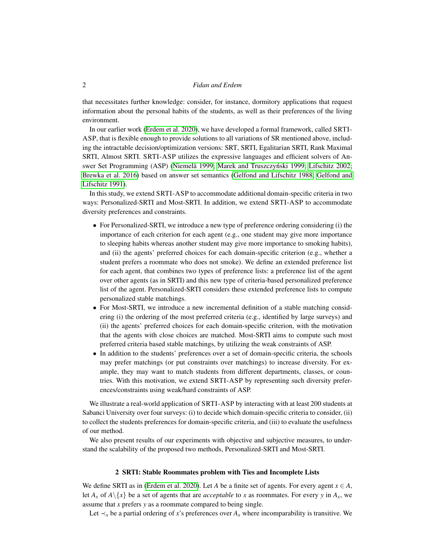that necessitates further knowledge: consider, for instance, dormitory applications that request information about the personal habits of the students, as well as their preferences of the living environment.

In our earlier work [\(Erdem et al. 2020\)](#page-16-4), we have developed a formal framework, called SRTI-ASP, that is flexible enough to provide solutions to all variations of SR mentioned above, including the intractable decision/optimization versions: SRT, SRTI, Egalitarian SRTI, Rank Maximal SRTI, Almost SRTI. SRTI-ASP utilizes the expressive languages and efficient solvers of An-swer Set Programming (ASP) (Niemelä 1999; [Marek and Truszczy](#page-17-5)ński 1999; [Lifschitz 2002;](#page-17-6) [Brewka et al. 2016\)](#page-16-5) based on answer set semantics [\(Gelfond and Lifschitz 1988;](#page-16-6) [Gelfond and](#page-17-7) [Lifschitz 1991\)](#page-17-7).

In this study, we extend SRTI-ASP to accommodate additional domain-specific criteria in two ways: Personalized-SRTI and Most-SRTI. In addition, we extend SRTI-ASP to accommodate diversity preferences and constraints.

- For Personalized-SRTI, we introduce a new type of preference ordering considering (i) the importance of each criterion for each agent (e.g., one student may give more importance to sleeping habits whereas another student may give more importance to smoking habits), and (ii) the agents' preferred choices for each domain-specific criterion (e.g., whether a student prefers a roommate who does not smoke). We define an extended preference list for each agent, that combines two types of preference lists: a preference list of the agent over other agents (as in SRTI) and this new type of criteria-based personalized preference list of the agent. Personalized-SRTI considers these extended preference lists to compute personalized stable matchings.
- For Most-SRTI, we introduce a new incremental definition of a stable matching considering (i) the ordering of the most preferred criteria (e.g., identified by large surveys) and (ii) the agents' preferred choices for each domain-specific criterion, with the motivation that the agents with close choices are matched. Most-SRTI aims to compute such most preferred criteria based stable matchings, by utilizing the weak constraints of ASP.
- In addition to the students' preferences over a set of domain-specific criteria, the schools may prefer matchings (or put constraints over matchings) to increase diversity. For example, they may want to match students from different departments, classes, or countries. With this motivation, we extend SRTI-ASP by representing such diversity preferences/constraints using weak/hard constraints of ASP.

We illustrate a real-world application of SRTI-ASP by interacting with at least 200 students at Sabanci University over four surveys: (i) to decide which domain-specific criteria to consider, (ii) to collect the students preferences for domain-specific criteria, and (iii) to evaluate the usefulness of our method.

We also present results of our experiments with objective and subjective measures, to understand the scalability of the proposed two methods, Personalized-SRTI and Most-SRTI.

#### 2 SRTI: Stable Roommates problem with Ties and Incomplete Lists

<span id="page-1-0"></span>We define SRTI as in [\(Erdem et al. 2020\)](#page-16-4). Let *A* be a finite set of agents. For every agent  $x \in A$ , let  $A_x$  of  $A \setminus \{x\}$  be a set of agents that are *acceptable* to *x* as roommates. For every *y* in  $A_x$ , we assume that *x* prefers *y* as a roommate compared to being single.

Let  $\prec_x$  be a partial ordering of *x*'s preferences over  $A_x$  where incomparability is transitive. We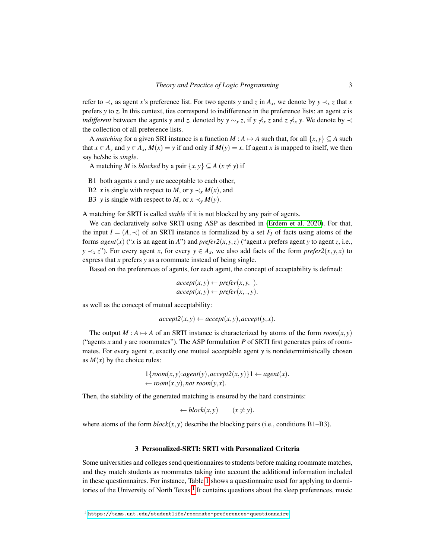refer to  $\prec$ <sup>x</sup> as agent *x*'s preference list. For two agents *y* and *z* in  $A$ <sup>x</sup>, we denote by  $y \prec$ <sup>x</sup> *z* that *x* prefers *y* to *z*. In this context, ties correspond to indifference in the preference lists: an agent *x* is *indifferent* between the agents *y* and *z*, denoted by *y* ∼*x z*, if *y*  $\not\vdash x$  *z* and *z*  $\not\vdash x$  *y*. We denote by  $\prec$ the collection of all preference lists.

A *matching* for a given SRI instance is a function *M* :  $A \mapsto A$  such that, for all  $\{x, y\} \subseteq A$  such that  $x \in A_y$  and  $y \in A_x$ ,  $M(x) = y$  if and only if  $M(y) = x$ . If agent *x* is mapped to itself, we then say he/she is *single*.

A matching *M* is *blocked* by a pair  $\{x, y\} \subseteq A$  ( $x \neq y$ ) if

B1 both agents *x* and *y* are acceptable to each other,

B2 *x* is single with respect to *M*, or  $y \prec_{x} M(x)$ , and

B3 *y* is single with respect to *M*, or  $x \prec_v M(y)$ .

A matching for SRTI is called *stable* if it is not blocked by any pair of agents.

We can declaratively solve SRTI using ASP as described in [\(Erdem et al. 2020\)](#page-16-4). For that, the input  $I = (A, \prec)$  of an SRTI instance is formalized by a set  $F_I$  of facts using atoms of the forms *agent*(*x*) ("*x* is an agent in *A*") and *prefer2*(*x*, *y*, *z*) ("agent *x* prefers agent *y* to agent *z*, i.e., *y*  $\prec$ <sup>*x*</sup> *z*"). For every agent *x*, for every *y* ∈ *A*<sub>*x*</sub>, we also add facts of the form *prefer2*(*x*, *y*, *x*) to express that *x* prefers *y* as a roommate instead of being single.

Based on the preferences of agents, for each agent, the concept of acceptability is defined:

$$
accept(x, y) \leftarrow prefer(x, y, \_).
$$

$$
accept(x, y) \leftarrow prefer(x, \_, y).
$$

as well as the concept of mutual acceptability:

$$
accept2(x, y) \leftarrow accept(x, y), accept(y, x).
$$

The output  $M : A \rightarrow A$  of an SRTI instance is characterized by atoms of the form  $room(x, y)$ ("agents *x* and *y* are roommates"). The ASP formulation *P* of SRTI first generates pairs of roommates. For every agent *x*, exactly one mutual acceptable agent *y* is nondeterministically chosen as  $M(x)$  by the choice rules:

$$
1\{room(x, y): agent(y), accept2(x, y)\}1 \leftarrow agent(x).
$$
  

$$
\leftarrow room(x, y), not room(y, x).
$$

Then, the stability of the generated matching is ensured by the hard constraints:

$$
\leftarrow \mathit{block}(x, y) \qquad (x \neq y).
$$

where atoms of the form  $block(x, y)$  describe the blocking pairs (i.e., conditions B1–B3).

## 3 Personalized-SRTI: SRTI with Personalized Criteria

Some universities and colleges send questionnaires to students before making roommate matches, and they match students as roommates taking into account the additional information included in these questionnaires. For instance, Table [1](#page-3-0) shows a questionnaire used for applying to dormi-tories of the University of North Texas.<sup>[1](#page-2-0)</sup> It contains questions about the sleep preferences, music

<span id="page-2-0"></span><sup>1</sup> <https://tams.unt.edu/studentlife/roommate-preferences-questionnaire>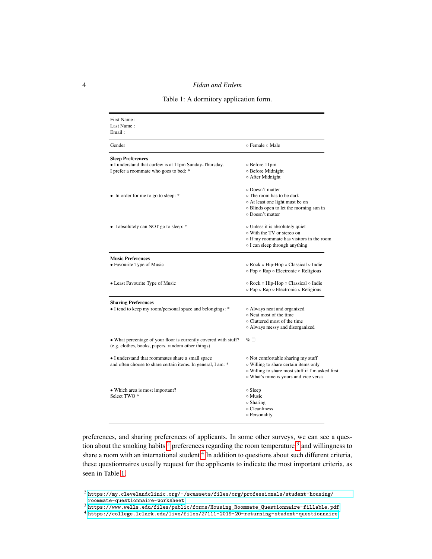Table 1: A dormitory application form.

<span id="page-3-0"></span>

| First Name:<br>Last Name:<br>Email:                                                                                          |                                                                                                                                                                          |
|------------------------------------------------------------------------------------------------------------------------------|--------------------------------------------------------------------------------------------------------------------------------------------------------------------------|
| Gender                                                                                                                       | ⊙ Female ⊙ Male                                                                                                                                                          |
| <b>Sleep Preferences</b><br>• I understand that curfew is at 11pm Sunday-Thursday.<br>I prefer a roommate who goes to bed: * | o Before 11pm<br>o Before Midnight<br>o After Midnight                                                                                                                   |
| • In order for me to go to sleep: *                                                                                          | o Doesn't matter<br>○ The room has to be dark<br>o At least one light must be on<br>o Blinds open to let the morning sun in<br>○ Doesn't matter                          |
| • I absolutely can NOT go to sleep: *                                                                                        | ○ Unless it is absolutely quiet<br>o With the TV or stereo on<br>o If my roommate has visitors in the room<br>o I can sleep through anything                             |
| <b>Music Preferences</b><br>• Favourite Type of Music                                                                        | ⊙ Rock ⊙ Hip-Hop ⊙ Classical ⊙ Indie<br>o Pop o Rap o Electronic o Religious                                                                                             |
| • Least Favourite Type of Music                                                                                              | $\circ$ Rock $\circ$ Hip-Hop $\circ$ Classical $\circ$ Indie<br>o Pop o Rap o Electronic o Religious                                                                     |
| <b>Sharing Preferences</b><br>• I tend to keep my room/personal space and belongings: *                                      | o Always neat and organized<br>○ Neat most of the time<br>o Cluttered most of the time<br>o Always messy and disorganized                                                |
| • What percentage of your floor is currently covered with stuff?<br>(e.g. clothes, books, papers, random other things)       | $\% \Box$                                                                                                                                                                |
| • I understand that roommates share a small space<br>and often choose to share certain items. In general, I am: *            | o Not comfortable sharing my stuff<br>o Willing to share certain items only<br>o Willing to share most stuff if I'm asked first<br>o What's mine is yours and vice versa |
| • Which area is most important?<br>Select TWO <sup>*</sup>                                                                   | $\circ$ Sleep<br>○ Music<br>$\circ$ Sharing<br>o Cleanliness<br>o Personality                                                                                            |

preferences, and sharing preferences of applicants. In some other surveys, we can see a ques-tion about the smoking habits,<sup>[2](#page-3-1)</sup> preferences regarding the room temperature,<sup>[3](#page-3-2)</sup> and willingness to share a room with an international student.<sup>[4](#page-3-3)</sup> In addition to questions about such different criteria, these questionnaires usually request for the applicants to indicate the most important criteria, as seen in Table [1.](#page-3-0)

<span id="page-3-2"></span><sup>3</sup> [https://www.wells.edu/files/public/forms/Housing\\_Roommate\\_Questionnaire-fillable.pdf](https://www.wells.edu/files/public/forms/Housing_Roommate_Questionnaire-fillable.pdf)

<span id="page-3-1"></span> $^2$  [https://my.clevelandclinic.org/-/scassets/files/org/professionals/student-housing/](https://my.clevelandclinic.org/-/scassets/files/org/professionals/student-housing/roommate-questionnaire-worksheet) [roommate-questionnaire-worksheet](https://my.clevelandclinic.org/-/scassets/files/org/professionals/student-housing/roommate-questionnaire-worksheet)

<span id="page-3-3"></span><sup>4</sup> <https://college.lclark.edu/live/files/27111-2019-20-returning-student-questionnaire>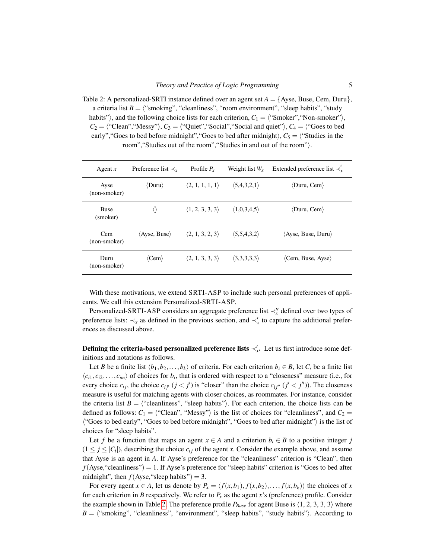<span id="page-4-0"></span>Table 2: A personalized-SRTI instance defined over an agent set  $A = \{A$ yse, Buse, Cem, Duru $\}$ , a criteria list  $B = \langle$ "smoking", "cleanliness", "room environment", "sleep habits", "study habits"), and the following choice lists for each criterion,  $C_1 = \langle$ "Smoker","Non-smoker"),  $C_2 = \langle$  "Clean", "Messy"),  $C_3 = \langle$  "Quiet", "Social", "Social and quiet"),  $C_4 = \langle$  "Goes to bed early", "Goes to bed before midnight", "Goes to bed after midnight),  $C_5 =$  ("Studies in the room", "Studies out of the room", "Studies in and out of the room").

| Agent $x$               | Preference list $\prec$ <sub>x</sub> | Profile $P_r$                   | Weight list $W_r$           | Extended preference list $\prec$ .   |
|-------------------------|--------------------------------------|---------------------------------|-----------------------------|--------------------------------------|
| Ayse<br>(non-smoker)    | $\langle$ Duru $\rangle$             | $\langle 2, 1, 1, 1, 1 \rangle$ | (5,4,3,2,1)                 | $\langle$ Duru, Cem $\rangle$        |
| <b>Buse</b><br>(smoker) |                                      | $\langle 1, 2, 3, 3, 3 \rangle$ | (1,0,3,4,5)                 | $\langle$ Duru, Cem $\rangle$        |
| Cem<br>(non-smoker)     | $\langle$ Ayse, Buse $\rangle$       | $\langle 2, 1, 3, 2, 3 \rangle$ | $\langle 5,5,4,3,2 \rangle$ | $\langle$ Ayse, Buse, Duru $\rangle$ |
| Duru<br>(non-smoker)    | $\langle$ Cem $\rangle$              | $\langle 2, 1, 3, 3, 3 \rangle$ | $\langle 3,3,3,3,3 \rangle$ | $\langle$ Cem, Buse, Ayse $\rangle$  |

With these motivations, we extend SRTI-ASP to include such personal preferences of applicants. We call this extension Personalized-SRTI-ASP.

Personalized-SRTI-ASP considers an aggregate preference list ≺<sup>"</sup><sub>x</sub> defined over two types of preference lists:  $\prec_x$  as defined in the previous section, and  $\prec'_x$  to capture the additional preferences as discussed above.

**Defining the criteria-based personalized preference lists**  $\prec'_x$ . Let us first introduce some definitions and notations as follows.

Let *B* be a finite list  $\langle b_1, b_2, \ldots, b_k \rangle$  of criteria. For each criterion  $b_i \in B$ , let  $C_i$  be a finite list  $\langle c_{i1}, c_{i2},..., c_{im} \rangle$  of choices for  $b_i$ , that is ordered with respect to a "closeness" measure (i.e., for every choice  $c_{ij}$ , the choice  $c_{ij'}$  ( $j < j'$ ) is "closer" than the choice  $c_{ij''}$  ( $j' < j''$ )). The closeness measure is useful for matching agents with closer choices, as roommates. For instance, consider the criteria list  $B = \langle$  "cleanliness", "sleep habits"). For each criterion, the choice lists can be defined as follows:  $C_1 = \langle$  "Clean", "Messy") is the list of choices for "cleanliness", and  $C_2 =$ ("Goes to bed early", "Goes to bed before midnight", "Goes to bed after midnight") is the list of choices for "sleep habits".

Let *f* be a function that maps an agent  $x \in A$  and a criterion  $b_i \in B$  to a positive integer *j*  $(1 \le j \le |C_i|)$ , describing the choice  $c_{ij}$  of the agent *x*. Consider the example above, and assume that Ayse is an agent in *A*. If Ayse's preference for the "cleanliness" criterion is "Clean", then  $f(Ayse, "cleanlines") = 1$ . If Ayse's preference for "sleep habits" criterion is "Goes to bed after midnight", then  $f$ (Ayse, "sleep habits") = 3.

For every agent  $x \in A$ , let us denote by  $P_x = \langle f(x, b_1), f(x, b_2), \dots, f(x, b_k) \rangle$  the choices of *x* for each criterion in *B* respectively. We refer to  $P_x$  as the agent *x*'s (preference) profile. Consider the example shown in Table [2.](#page-4-0) The preference profile  $P_{Buse}$  for agent Buse is  $\langle 1, 2, 3, 3, 3 \rangle$  where  $B = \langle$ "smoking", "cleanliness", "environment", "sleep habits", "study habits"). According to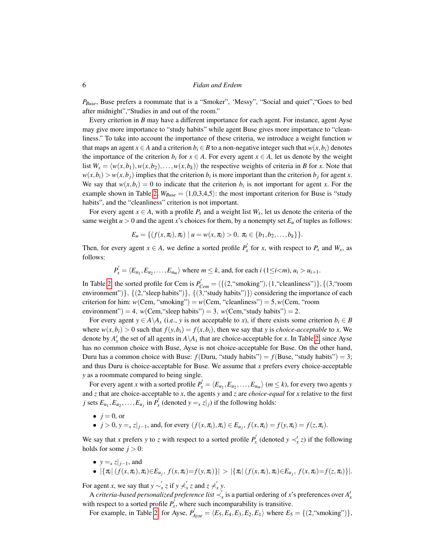*PBuse*, Buse prefers a roommate that is a "Smoker", 'Messy", "Social and quiet","Goes to bed after midnight","Studies in and out of the room."

Every criterion in *B* may have a different importance for each agent. For instance, agent Ayse may give more importance to "study habits" while agent Buse gives more importance to "cleanliness." To take into account the importance of these criteria, we introduce a weight function *w* that maps an agent  $x \in A$  and a criterion  $b_i \in B$  to a non-negative integer such that  $w(x, b_i)$  denotes the importance of the criterion  $b_i$  for  $x \in A$ . For every agent  $x \in A$ , let us denote by the weight list  $W_x = \langle w(x, b_1), w(x, b_2), \ldots, w(x, b_k) \rangle$  the respective weights of criteria in *B* for *x*. Note that  $w(x, b_i) > w(x, b_j)$  implies that the criterion  $b_i$  is more important than the criterion  $b_j$  for agent *x*. We say that  $w(x, b_i) = 0$  to indicate that the criterion  $b_i$  is not important for agent *x*. For the example shown in Table [2,](#page-4-0)  $W_{Buse} = \langle 1,0,3,4,5 \rangle$ : the most important criterion for Buse is "study habits", and the "cleanliness" criterion is not important.

For every agent  $x \in A$ , with a profile  $P_x$  and a weight list  $W_x$ , let us denote the criteria of the same weight  $u > 0$  and the agent x's choices for them, by a nonempty set  $E_u$  of tuples as follows:

$$
E_u = \{ (f(x, \pi_i), \pi_i) \mid u = w(x, \pi_i) > 0, \pi_i \in \{b_1, b_2, \ldots, b_k\} \}.
$$

Then, for every agent  $x \in A$ , we define a sorted profile  $P'_x$  for *x*, with respect to  $P_x$  and  $W_x$ , as follows:

$$
P'_x = \langle E_{u_1}, E_{u_2}, \dots, E_{u_m} \rangle
$$
 where  $m \leq k$ , and, for each  $i \ (1 \leq i < m)$ ,  $u_i > u_{i+1}$ .

In Table [2,](#page-4-0) the sorted profile for Cem is  $P'_{Cem} = \langle \{(2, "smoking"), (1, "cleanliness")\}, \{(3, "room$ environment")},  $\{(2, "sleep habits")\}, \{(3, "study habits")\}\}\text{ considering the importance of each$ criterion for him:  $w(\text{Cem}, \text{``smoking''}) = w(\text{Cem}, \text{``cleanlines''}) = 5, w(\text{Cem}, \text{``room})$ environment") = 4,  $w(\text{Cem}, "sleep habits") = 3$ ,  $w(\text{Cem}, "study habits") = 2$ .

For every agent  $y \in A \setminus A_x$  (i.e., *y* is not acceptable to *x*), if there exists some criterion  $b_i \in B$ where  $w(x, b_i) > 0$  such that  $f(y, b_i) = f(x, b_i)$ , then we say that *y* is *choice-acceptable* to *x*. We denote by  $A'_x$  the set of all agents in  $A \setminus A_x$  that are choice-acceptable for *x*. In Table [2,](#page-4-0) since Ayse has no common choice with Buse, Ayse is not choice-acceptable for Buse. On the other hand, Duru has a common choice with Buse:  $f(Duru, "study habits") = f(Buse, "study habits") = 3;$ and thus Duru is choice-acceptable for Buse. We assume that *x* prefers every choice-acceptable *y* as a roommate compared to being single.

For every agent *x* with a sorted profile  $P'_x = \langle E_{u_1}, E_{u_2}, \dots, E_{u_m} \rangle$  ( $m \le k$ ), for every two agents *y* and *z* that are choice-acceptable to *x*, the agents *y* and *z* are *choice-equal* for *x* relative to the first *j* sets  $E_{u_1}, E_{u_2}, \ldots, E_{u_j}$  in  $P'_x$  (denoted  $y = x z|_j$ ) if the following holds:

- $\bullet$  *j* = 0, or
- $j > 0$ ,  $y = x z |_{j-1}$ , and, for every  $(f(x, \pi_i), \pi_i) \in E_{u_j}$ ,  $f(x, \pi_i) = f(y, \pi_i) = f(z, \pi_i)$ .

We say that *x* prefers *y* to *z* with respect to a sorted profile  $P'_x$  (denoted  $y \prec'_x z$ ) if the following holds for some  $j > 0$ :

- $y = x \nvert_{i=1}$ , and
- $|\{\pi_i | (f(x, \pi_i), \pi_i) \in E_{u_j}, f(x, \pi_i) = f(y, \pi_i)\}| > |\{\pi_i | (f(x, \pi_i), \pi_i) \in E_{u_j}, f(x, \pi_i) = f(z, \pi_i)\}|.$

For agent *x*, we say that  $y \sim'_x z$  if  $y \nless'_x z$  and  $z \nless'_x y$ .

A *criteria-based personalized preference list*  $\prec'_x$  is a partial ordering of *x*'s preferences over  $A'_x$ with respect to a sorted profile  $P_x^j$ , where such incomparability is transitive.

For example, in Table [2,](#page-4-0) for Ayse,  $P'_{Ayse} = \langle E_5, E_4, E_3, E_2, E_1 \rangle$  where  $E_5 = \{(2, \text{``smoking''})\},$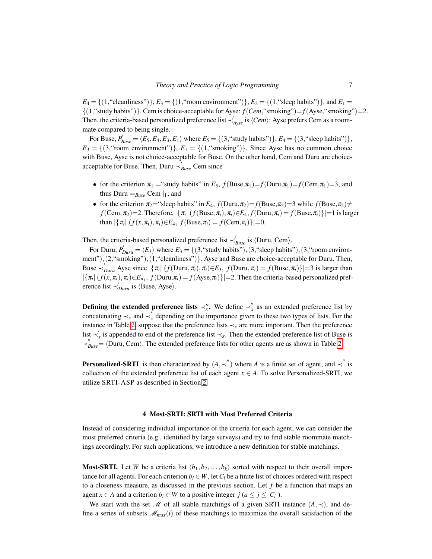$E_4 = \{(1, \text{``cleaniness''})\}, E_3 = \{(1, \text{``room environment''})\}, E_2 = \{(1, \text{``sleep habits''})\}, \text{and } E_1 =$ {(1,"study habits")}. Cem is choice-acceptable for Ayse: *f*(*Cem*,"smoking")=*f*(Ayse,"smoking")=2. Then, the criteria-based personalized preference list  $\prec'_{Ayse}$  is  $\langle Cem \rangle$ : Ayse prefers Cem as a roommate compared to being single.

For Buse,  $P'_{Buse} = \langle E_5, E_4, E_3, E_1 \rangle$  where  $E_5 = \{(3, \text{``study habits''})\}, E_4 = \{(3, \text{``sleep habits''})\},$  $E_3 = \{(3, \text{``room environment''})\}\$ *,*  $E_1 = \{(1, \text{``smoking''})\}\$ . Since Ayse has no common choice with Buse, Ayse is not choice-acceptable for Buse. On the other hand, Cem and Duru are choiceacceptable for Buse. Then, Duru  $\frac{1}{\gamma_{\text{Buse}}}$  Cem since

- for the criterion  $\pi_1$  = "study habits" in  $E_5$ ,  $f$ (Buse, $\pi_1$ )= $f$ (Duru, $\pi_1$ )= $f$ (Cem, $\pi_1$ )=3, and thus Duru  $=_{Buse}$  Cem  $|_1$ ; and
- for the criterion  $\pi_2$ ="sleep habits" in  $E_4$ ,  $f(Duru, \pi_2) = f(Buse, \pi_2) = 3$  while  $f(Buse, \pi_2) \neq$  $f(\text{Cem}, \pi_2) = 2$ . Therefore,  $|\{\pi_i | (f(\text{Buse}, \pi_i), \pi_i) \in E_4, f(\text{Duru}, \pi_i) = f(\text{Buse}, \pi_i)\}| = 1$  is larger  ${\tan |\{\pi_i | (f(x, \pi_i), \pi_i) \in E_4, f(\text{Buse}, \pi_i) = f(\text{Cem}, \pi_i)\}| = 0.}$

Then, the criteria-based personalized preference list  $\prec'_{Buse}$  is  $\langle$ Duru, Cem $\rangle$ .

For Duru,  $P'_{Duru} = \langle E_3 \rangle$  where  $E_3 = \{(3, \text{``study habits''}), (3, \text{``sleep habits''}), (3, \text{``room environment''})\}$ ment"), (2, "smoking"), (1, "cleanliness") }. Ayse and Buse are choice-acceptable for Duru. Then, Buse  $\prec'_{Duru}$  Ayse since  $|\{\pi_i | (f(Duru, \pi_i), \pi_i) \in E_3, f(Duru, \pi_i) = f(Buse, \pi_i)\}| = 3$  is larger than  $|\{\pi_i | (f(x, \pi_i), \pi_i) \in E_{u_1}, f(\text{Duru}, \pi_i) = f(\text{Ayse}, \pi_i)\}| = 2$ . Then the criteria-based personalized preference list  $\prec'_{Duru}$  is  $\langle Buse, Ayse \rangle$ .

**Defining the extended preference lists**  $\prec''_x$ . We define  $\prec''_x$  as an extended preference list by concatenating  $\prec_x$  and  $\prec'_x$  depending on the importance given to these two types of lists. For the instance in Table [2,](#page-4-0) suppose that the preference lists ≺*<sup>x</sup>* are more important. Then the preference list  $\prec'_x$  is appended to end of the preference list  $\prec_x$ . Then the extended preference list of Buse is  $\prec_{Base}'''' =$   $\langle$ Duru, Cem $\rangle$ . The extended preference lists for other agents are as shown in Table [2.](#page-4-0)

**Personalized-SRTI** is then characterized by  $(A, \prec'')$  where *A* is a finite set of agent, and  $\prec''$  is collection of the extended preference list of each agent  $x \in A$ . To solve Personalized-SRTI, we utilize SRTI-ASP as described in Section [2.](#page-1-0)

## 4 Most-SRTI: SRTI with Most Preferred Criteria

<span id="page-6-0"></span>Instead of considering individual importance of the criteria for each agent, we can consider the most preferred criteria (e.g., identified by large surveys) and try to find stable roommate matchings accordingly. For such applications, we introduce a new definition for stable matchings.

**Most-SRTI.** Let *W* be a criteria list  $\langle b_1, b_2, \ldots, b_k \rangle$  sorted with respect to their overall importance for all agents. For each criterion  $b_i \in W$ , let  $C_i$  be a finite list of choices ordered with respect to a closeness measure, as discussed in the previous section. Let *f* be a function that maps an agent  $x \in A$  and a criterion  $b_i \in W$  to a positive integer  $j$  ( $a \le j \le |C_i|$ ).

We start with the set M of all stable matchings of a given SRTI instance  $(A, \prec)$ , and define a series of subsets  $\mathcal{M}_{max}(i)$  of these matchings to maximize the overall satisfaction of the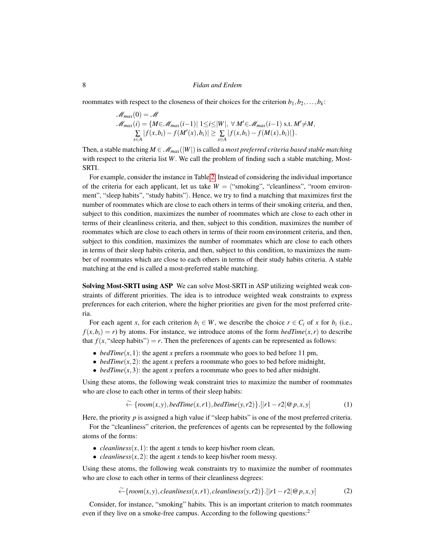roommates with respect to the closeness of their choices for the criterion  $b_1, b_2, \ldots, b_k$ :

$$
\mathcal{M}_{max}(0) = \mathcal{M}
$$
  
\n
$$
\mathcal{M}_{max}(i) = \{M \in \mathcal{M}_{max}(i-1) | 1 \leq i \leq |W|, \forall M' \in \mathcal{M}_{max}(i-1) \text{ s.t. } M' \neq M, \sum_{x \in A} |f(x, b_i) - f(M'(x), b_i)| \geq \sum_{x \in A} |f(x, b_i) - f(M(x), b_i)| \}.
$$

Then, a stable matching  $M \in \mathcal{M}_{max}(|W|)$  is called a *most preferred criteria based stable matching* with respect to the criteria list *W*. We call the problem of finding such a stable matching, Most-SRTI.

For example, consider the instance in Table [2.](#page-4-0) Instead of considering the individual importance of the criteria for each applicant, let us take  $W = \langle$ "smoking", "cleanliness", "room environment", "sleep habits", "study habits"). Hence, we try to find a matching that maximizes first the number of roommates which are close to each others in terms of their smoking criteria, and then, subject to this condition, maximizes the number of roommates which are close to each other in terms of their cleanliness criteria, and then, subject to this condition, maximizes the number of roommates which are close to each others in terms of their room environment criteria, and then, subject to this condition, maximizes the number of roommates which are close to each others in terms of their sleep habits criteria, and then, subject to this condition, to maximizes the number of roommates which are close to each others in terms of their study habits criteria. A stable matching at the end is called a most-preferred stable matching.

Solving Most-SRTI using ASP We can solve Most-SRTI in ASP utilizing weighted weak constraints of different priorities. The idea is to introduce weighted weak constraints to express preferences for each criterion, where the higher priorities are given for the most preferred criteria.

For each agent *x*, for each criterion  $b_i \in W$ , we describe the choice  $r \in C_i$  of *x* for  $b_i$  (i.e.,  $f(x, b_i) = r$  by atoms. For instance, we introduce atoms of the form *bedTime*(*x*,*r*) to describe that  $f(x,$  "sleep habits") =  $r$ . Then the preferences of agents can be represented as follows:

- *bedTime* $(x, 1)$ : the agent *x* prefers a roommate who goes to bed before 11 pm,
- *bedTime* $(x, 2)$ : the agent *x* prefers a roommate who goes to bed before midnight,
- *bedTime*( $x$ ,3): the agent *x* prefers a roommate who goes to bed after midnight.

Using these atoms, the following weak constraint tries to maximize the number of roommates who are close to each other in terms of their sleep habits:

<span id="page-7-1"></span>
$$
\widetilde{\leftarrow} \{room(x, y), bedTime(x, r1), bedTime(y, r2)\}.[|r1 - r2| \mathcal{Q} p, x, y] \tag{1}
$$

Here, the priority *p* is assigned a high value if "sleep habits" is one of the most preferred criteria.

For the "cleanliness" criterion, the preferences of agents can be represented by the following atoms of the forms:

- *cleanliness* $(x, 1)$ : the agent *x* tends to keep his/her room clean,
- *cleanliness* $(x, 2)$ : the agent *x* tends to keep his/her room messy.

Using these atoms, the following weak constraints try to maximize the number of roommates who are close to each other in terms of their cleanliness degrees:

<span id="page-7-0"></span>
$$
\widetilde{\leftarrow} \{room(x, y), clean liness(x, r1), clean liness(y, r2)\}.[|r1 - r2|@p, x, y]
$$
\n(2)

Consider, for instance, "smoking" habits. This is an important criterion to match roommates even if they live on a smoke-free campus. According to the following questions:<sup>2</sup>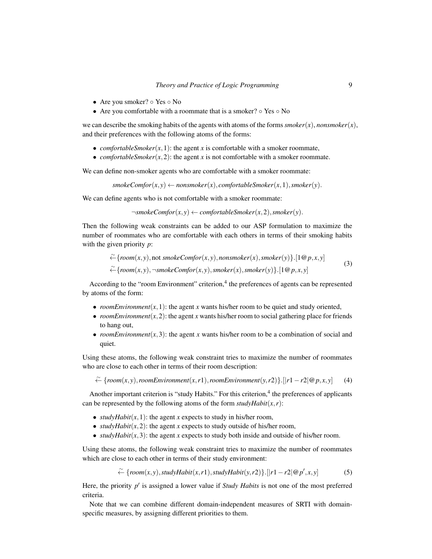- Are you smoker? Yes No
- Are you comfortable with a roommate that is a smoker?  $\circ$  Yes  $\circ$  No

we can describe the smoking habits of the agents with atoms of the forms  $smoker(x)$ , *nonsmoker* $(x)$ , and their preferences with the following atoms of the forms:

- *comfortableSmoker* $(x, 1)$ : the agent *x* is comfortable with a smoker roommate,
- *comfortableSmoker*( $x$ ,  $2$ ): the agent  $x$  is not comfortable with a smoker roommate.

We can define non-smoker agents who are comfortable with a smoker roommate:

 $smokeComfor(x, y) \leftarrow nonsmoker(x), comfortableSmoker(x, 1), smoker(y).$ 

We can define agents who is not comfortable with a smoker roommate:

 $\neg \mathit{smokeComfor}(x, y) \leftarrow \mathit{comfortableSmoker}(x, 2), \mathit{smoker}(y).$ 

Then the following weak constraints can be added to our ASP formulation to maximize the number of roommates who are comfortable with each others in terms of their smoking habits with the given priority *p*:

<span id="page-8-0"></span>
$$
\widetilde{\leftarrow} \{room(x, y), \text{not } smokeComfor(x, y), nonsmoker(x), smoker(y)\}.[1@p, x, y] \newline \widetilde{\leftarrow} \{room(x, y), \neg smokeComfor(x, y), smoker(x), smoker(y)\}.[1@p, x, y] \tag{3}
$$

According to the "room Environment" criterion,<sup>4</sup> the preferences of agents can be represented by atoms of the form:

- *roomEnvironment* $(x, 1)$ : the agent *x* wants his/her room to be quiet and study oriented,
- *roomEnvironment* $(x, 2)$ : the agent *x* wants his/her room to social gathering place for friends to hang out,
- *roomEnvironment* $(x, 3)$ : the agent *x* wants his/her room to be a combination of social and quiet.

Using these atoms, the following weak constraint tries to maximize the number of roommates who are close to each other in terms of their room description:

<span id="page-8-1"></span>←  ${~\left \{room(x, y), roomEnvironment(x, r1), roomEnvironment(y, r2)}\}.$  [| $r1 - r2$ ]  $@p, x, y$ ] (4)

Another important criterion is "study Habits." For this criterion,<sup>4</sup> the preferences of applicants can be represented by the following atoms of the form  $\text{studyHabit}(x, r)$ :

- *studyHabit* $(x, 1)$ : the agent *x* expects to study in his/her room,
- *studyHabit* $(x, 2)$ : the agent *x* expects to study outside of his/her room,
- *studyHabit* $(x, 3)$ : the agent *x* expects to study both inside and outside of his/her room.

Using these atoms, the following weak constraint tries to maximize the number of roommates which are close to each other in terms of their study environment:

<span id="page-8-2"></span>
$$
\widetilde{\leftarrow} \{room(x, y), studyHabit(x, r1), studyHabit(y, r2)\}.[|r1 - r2|@p', x, y]
$$
\n(5)

Here, the priority p' is assigned a lower value if *Study Habits* is not one of the most preferred criteria.

Note that we can combine different domain-independent measures of SRTI with domainspecific measures, by assigning different priorities to them.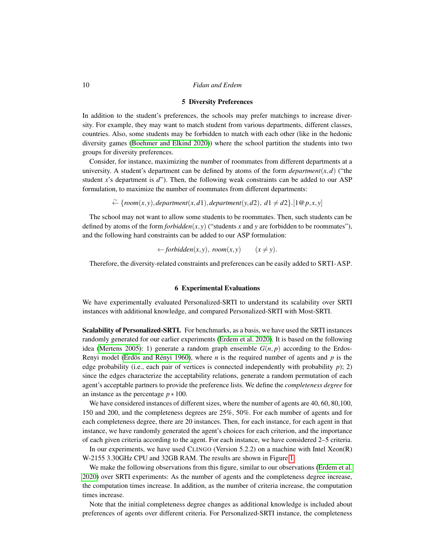#### 5 Diversity Preferences

In addition to the student's preferences, the schools may prefer matchings to increase diversity. For example, they may want to match student from various departments, different classes, countries. Also, some students may be forbidden to match with each other (like in the hedonic diversity games [\(Boehmer and Elkind 2020\)](#page-16-7)) where the school partition the students into two groups for diversity preferences.

Consider, for instance, maximizing the number of roommates from different departments at a university. A student's department can be defined by atoms of the form  $department(x, d)$  ("the student *x*'s department is *d*"). Then, the following weak constraints can be added to our ASP formulation, to maximize the number of roommates from different departments:

←  ${$  {room(x,y), *department*(x,d1), *department*(y,d2),  $d1 ≠ d2$ }.[1@*p,x,y*]

The school may not want to allow some students to be roommates. Then, such students can be defined by atoms of the form *forbidden*( $x, y$ ) ("students  $x$  and  $y$  are forbidden to be roommates"), and the following hard constraints can be added to our ASP formulation:

 $\leftarrow$  *forbidden* $(x, y)$ , *room* $(x, y)$   $(x \neq y)$ .

Therefore, the diversity-related constraints and preferences can be easily added to SRTI-ASP.

#### 6 Experimental Evaluations

We have experimentally evaluated Personalized-SRTI to understand its scalability over SRTI instances with additional knowledge, and compared Personalized-SRTI with Most-SRTI.

Scalability of Personalized-SRTI. For benchmarks, as a basis, we have used the SRTI instances randomly generated for our earlier experiments [\(Erdem et al. 2020\)](#page-16-4). It is based on the following idea [\(Mertens 2005\)](#page-17-8): 1) generate a random graph ensemble  $G(n, p)$  according to the Erdos-Renyi model (Erdös and Rényi 1960), where  $n$  is the required number of agents and  $p$  is the edge probability (i.e., each pair of vertices is connected independently with probability *p*); 2) since the edges characterize the acceptability relations, generate a random permutation of each agent's acceptable partners to provide the preference lists. We define the *completeness degree* for an instance as the percentage *p* ∗ 100.

We have considered instances of different sizes, where the number of agents are 40, 60, 80,100, 150 and 200, and the completeness degrees are 25%, 50%. For each number of agents and for each completeness degree, there are 20 instances. Then, for each instance, for each agent in that instance, we have randomly generated the agent's choices for each criterion, and the importance of each given criteria according to the agent. For each instance, we have considered 2–5 criteria.

In our experiments, we have used CLINGO (Version 5.2.2) on a machine with Intel Xeon $(R)$ W-2155 3.30GHz CPU and 32GB RAM. The results are shown in Figure [1.](#page-10-0)

We make the following observations from this figure, similar to our observations [\(Erdem et al.](#page-16-4) [2020\)](#page-16-4) over SRTI experiments: As the number of agents and the completeness degree increase, the computation times increase. In addition, as the number of criteria increase, the computation times increase.

Note that the initial completeness degree changes as additional knowledge is included about preferences of agents over different criteria. For Personalized-SRTI instance, the completeness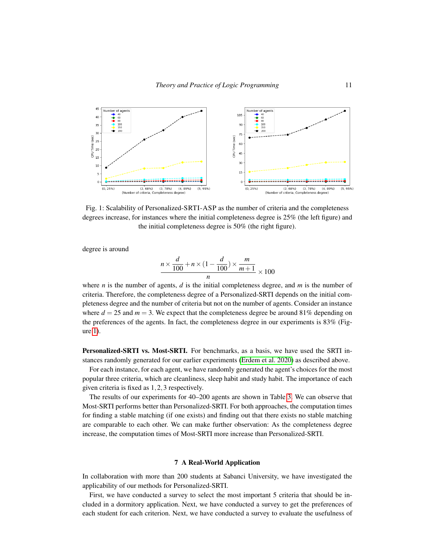<span id="page-10-0"></span>

Fig. 1: Scalability of Personalized-SRTI-ASP as the number of criteria and the completeness degrees increase, for instances where the initial completeness degree is 25% (the left figure) and the initial completeness degree is 50% (the right figure).

degree is around

$$
\frac{n \times \frac{d}{100} + n \times (1 - \frac{d}{100}) \times \frac{m}{m+1}}{n} \times 100
$$

where *n* is the number of agents, *d* is the initial completeness degree, and *m* is the number of criteria. Therefore, the completeness degree of a Personalized-SRTI depends on the initial completeness degree and the number of criteria but not on the number of agents. Consider an instance where  $d = 25$  and  $m = 3$ . We expect that the completeness degree be around 81% depending on the preferences of the agents. In fact, the completeness degree in our experiments is 83% (Figure [1\)](#page-10-0).

Personalized-SRTI vs. Most-SRTI. For benchmarks, as a basis, we have used the SRTI instances randomly generated for our earlier experiments [\(Erdem et al. 2020\)](#page-16-4) as described above.

For each instance, for each agent, we have randomly generated the agent's choices for the most popular three criteria, which are cleanliness, sleep habit and study habit. The importance of each given criteria is fixed as 1,2,3 respectively.

The results of our experiments for 40–200 agents are shown in Table [3.](#page-11-0) We can observe that Most-SRTI performs better than Personalized-SRTI. For both approaches, the computation times for finding a stable matching (if one exists) and finding out that there exists no stable matching are comparable to each other. We can make further observation: As the completeness degree increase, the computation times of Most-SRTI more increase than Personalized-SRTI.

## 7 A Real-World Application

In collaboration with more than 200 students at Sabanci University, we have investigated the applicability of our methods for Personalized-SRTI.

First, we have conducted a survey to select the most important 5 criteria that should be included in a dormitory application. Next, we have conducted a survey to get the preferences of each student for each criterion. Next, we have conducted a survey to evaluate the usefulness of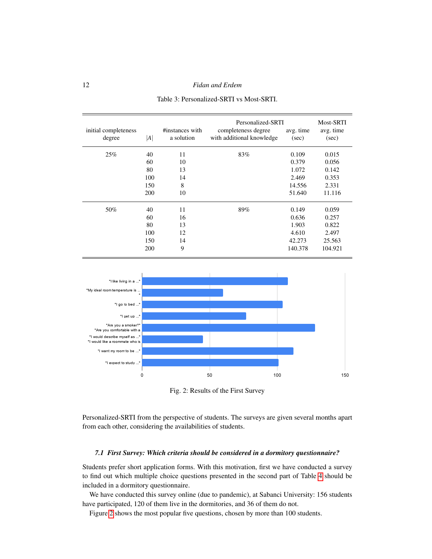<span id="page-11-0"></span>12 *Fidan and Erdem*

|                                |     |                               | Personalized-SRTI                                | Most-SRTI          |                    |
|--------------------------------|-----|-------------------------------|--------------------------------------------------|--------------------|--------------------|
| initial completeness<br>degree | A   | #instances with<br>a solution | completeness degree<br>with additional knowledge | avg. time<br>(sec) | avg. time<br>(sec) |
| 25%                            | 40  | 11                            | 83%                                              | 0.109              | 0.015              |
|                                | 60  | 10                            |                                                  | 0.379              | 0.056              |
|                                | 80  | 13                            |                                                  | 1.072              | 0.142              |
|                                | 100 | 14                            |                                                  | 2.469              | 0.353              |
|                                | 150 | 8                             |                                                  | 14.556             | 2.331              |
|                                | 200 | 10                            |                                                  | 51.640             | 11.116             |
| 50%                            | 40  | 11                            | 89%                                              | 0.149              | 0.059              |
|                                | 60  | 16                            |                                                  | 0.636              | 0.257              |
|                                | 80  | 13                            |                                                  | 1.903              | 0.822              |
|                                | 100 | 12                            |                                                  | 4.610              | 2.497              |
|                                | 150 | 14                            |                                                  | 42.273             | 25.563             |
|                                | 200 | 9                             |                                                  | 140.378            | 104.921            |

Table 3: Personalized-SRTI vs Most-SRTI.

<span id="page-11-1"></span>

Fig. 2: Results of the First Survey

Personalized-SRTI from the perspective of students. The surveys are given several months apart from each other, considering the availabilities of students.

## *7.1 First Survey: Which criteria should be considered in a dormitory questionnaire?*

Students prefer short application forms. With this motivation, first we have conducted a survey to find out which multiple choice questions presented in the second part of Table [4](#page-12-0) should be included in a dormitory questionnaire.

We have conducted this survey online (due to pandemic), at Sabanci University: 156 students have participated, 120 of them live in the dormitories, and 36 of them do not.

Figure [2](#page-11-1) shows the most popular five questions, chosen by more than 100 students.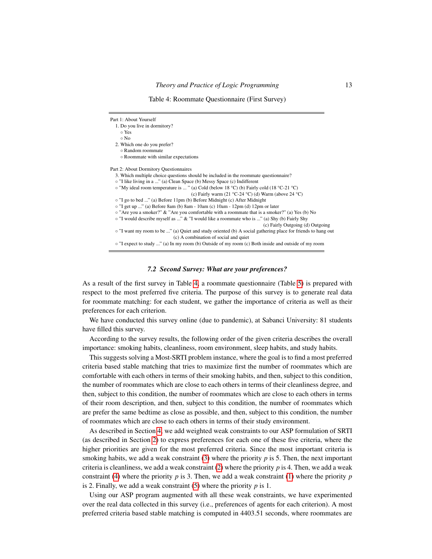Table 4: Roommate Questionnaire (First Survey)

<span id="page-12-0"></span>

| Part 1: About Yourself                                                                                      |
|-------------------------------------------------------------------------------------------------------------|
| 1. Do you live in dormitory?                                                                                |
| ○ Yes                                                                                                       |
| $\circ$ No                                                                                                  |
| 2. Which one do you prefer?                                                                                 |
| ○ Random roommate                                                                                           |
| • Roommate with similar expectations                                                                        |
| Part 2: About Dormitory Questionnaires                                                                      |
| 3. Which multiple choice questions should be included in the roommate questionnaire?                        |
| o "I like living in a " (a) Clean Space (b) Messy Space (c) Indifferent                                     |
| $\circ$ "My ideal room temperature is " (a) Cold (below 18 °C) (b) Fairly cold (18 °C-21 °C)                |
| (c) Fairly warm $(21 °C-24 °C)$ (d) Warm (above 24 °C)                                                      |
| o "I go to bed " (a) Before 11pm (b) Before Midnight (c) After Midnight                                     |
| $\circ$ "I get up " (a) Before 8am (b) 8am - 10am (c) 10am - 12pm (d) 12pm or later                         |
| $\circ$ "Are you a smoker?" & "Are you comfortable with a roommate that is a smoker?" (a) Yes (b) No        |
| $\circ$ "I would describe myself as " & "I would like a roommate who is " (a) Shy (b) Fairly Shy            |
| (c) Fairly Outgoing (d) Outgoing                                                                            |
| o "I want my room to be " (a) Quiet and study oriented (b) A social gathering place for friends to hang out |
| (c) A combination of social and quiet                                                                       |
| $\circ$ "I expect to study " (a) In my room (b) Outside of my room (c) Both inside and outside of my room   |
|                                                                                                             |

#### *7.2 Second Survey: What are your preferences?*

As a result of the first survey in Table [4,](#page-12-0) a roommate questionnaire (Table [5\)](#page-13-0) is prepared with respect to the most preferred five criteria. The purpose of this survey is to generate real data for roommate matching: for each student, we gather the importance of criteria as well as their preferences for each criterion.

We have conducted this survey online (due to pandemic), at Sabanci University: 81 students have filled this survey.

According to the survey results, the following order of the given criteria describes the overall importance: smoking habits, cleanliness, room environment, sleep habits, and study habits.

This suggests solving a Most-SRTI problem instance, where the goal is to find a most preferred criteria based stable matching that tries to maximize first the number of roommates which are comfortable with each others in terms of their smoking habits, and then, subject to this condition, the number of roommates which are close to each others in terms of their cleanliness degree, and then, subject to this condition, the number of roommates which are close to each others in terms of their room description, and then, subject to this condition, the number of roommates which are prefer the same bedtime as close as possible, and then, subject to this condition, the number of roommates which are close to each others in terms of their study environment.

As described in Section [4,](#page-6-0) we add weighted weak constraints to our ASP formulation of SRTI (as described in Section [2\)](#page-1-0) to express preferences for each one of these five criteria, where the higher priorities are given for the most preferred criteria. Since the most important criteria is smoking habits, we add a weak constraint [\(3\)](#page-8-0) where the priority *p* is 5. Then, the next important criteria is cleanliness, we add a weak constraint [\(2\)](#page-7-0) where the priority *p* is 4. Then, we add a weak constraint [\(4\)](#page-8-1) where the priority  $p$  is 3. Then, we add a weak constraint [\(1\)](#page-7-1) where the priority  $p$ is 2. Finally, we add a weak constraint [\(5\)](#page-8-2) where the priority *p* is 1.

Using our ASP program augmented with all these weak constraints, we have experimented over the real data collected in this survey (i.e., preferences of agents for each criterion). A most preferred criteria based stable matching is computed in 4403.51 seconds, where roommates are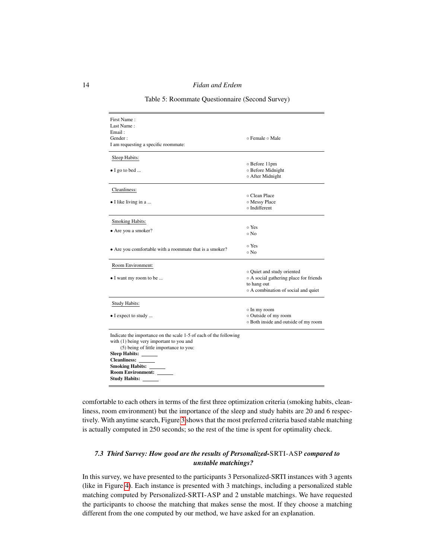Table 5: Roommate Questionnaire (Second Survey)

<span id="page-13-0"></span>

| First Name:                                                       |                                        |
|-------------------------------------------------------------------|----------------------------------------|
| Last Name:                                                        |                                        |
| Email:                                                            |                                        |
| Gender:                                                           | ⊙ Female ⊙ Male                        |
| I am requesting a specific roommate:                              |                                        |
| Sleep Habits:                                                     |                                        |
|                                                                   | o Before 11pm                          |
| $\bullet$ I go to bed                                             | o Before Midnight                      |
|                                                                   | o After Midnight                       |
|                                                                   |                                        |
| Cleanliness:                                                      |                                        |
|                                                                   | ○ Clean Place                          |
| • I like living in a                                              | o Messy Place                          |
|                                                                   | o Indifferent                          |
| <b>Smoking Habits:</b>                                            |                                        |
|                                                                   | o Yes                                  |
| • Are you a smoker?                                               | $\circ$ No                             |
|                                                                   |                                        |
| • Are you comfortable with a roommate that is a smoker?           | ∘ Yes                                  |
|                                                                   | ∘ No                                   |
| Room Environment:                                                 |                                        |
|                                                                   | o Quiet and study oriented             |
| • I want my room to be                                            | o A social gathering place for friends |
|                                                                   | to hang out                            |
|                                                                   | ○ A combination of social and quiet    |
|                                                                   |                                        |
| Study Habits:                                                     | o In my room                           |
| $\bullet$ I expect to study                                       | o Outside of my room                   |
|                                                                   | o Both inside and outside of my room   |
|                                                                   |                                        |
| Indicate the importance on the scale 1-5 of each of the following |                                        |
| with (1) being very important to you and                          |                                        |
| (5) being of little importance to you:                            |                                        |
| <b>Sleep Habits:</b>                                              |                                        |
| Cleanliness: ______                                               |                                        |
| <b>Smoking Habits:</b>                                            |                                        |
| <b>Room Environment:</b>                                          |                                        |
| <b>Study Habits:</b>                                              |                                        |

comfortable to each others in terms of the first three optimization criteria (smoking habits, cleanliness, room environment) but the importance of the sleep and study habits are 20 and 6 respectively. With anytime search, Figure [3](#page-14-0) shows that the most preferred criteria based stable matching is actually computed in 250 seconds; so the rest of the time is spent for optimality check.

# <span id="page-13-1"></span>*7.3 Third Survey: How good are the results of Personalized-*SRTI-ASP *compared to unstable matchings?*

In this survey, we have presented to the participants 3 Personalized-SRTI instances with 3 agents (like in Figure [4\)](#page-14-1). Each instance is presented with 3 matchings, including a personalized stable matching computed by Personalized-SRTI-ASP and 2 unstable matchings. We have requested the participants to choose the matching that makes sense the most. If they choose a matching different from the one computed by our method, we have asked for an explanation.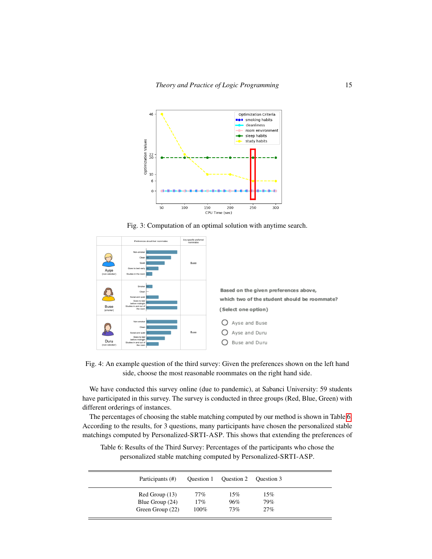<span id="page-14-0"></span>



<span id="page-14-1"></span>



We have conducted this survey online (due to pandemic), at Sabanci University: 59 students have participated in this survey. The survey is conducted in three groups (Red, Blue, Green) with different orderings of instances.

The percentages of choosing the stable matching computed by our method is shown in Table [6.](#page-14-2) According to the results, for 3 questions, many participants have chosen the personalized stable matchings computed by Personalized-SRTI-ASP. This shows that extending the preferences of

<span id="page-14-2"></span>Table 6: Results of the Third Survey: Percentages of the participants who chose the personalized stable matching computed by Personalized-SRTI-ASP.

| Participants (#)  | Question 1 | Question 2 | Ouestion 3 |
|-------------------|------------|------------|------------|
| Red Group (13)    | 77%        | 15%        | 15%        |
| Blue Group $(24)$ | 17%        | 96%        | 79%        |
| Green Group (22)  | 100%       | 73%        | 27%        |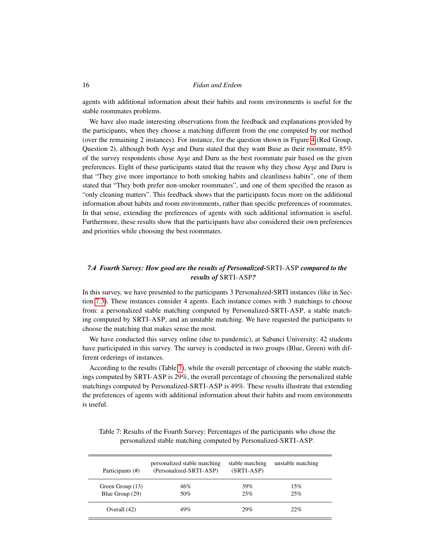agents with additional information about their habits and room environments is useful for the stable roommates problems.

We have also made interesting observations from the feedback and explanations provided by the participants, when they choose a matching different from the one computed by our method (over the remaining 2 instances). For instance, for the question shown in Figure [4](#page-14-1) (Red Group, Question 2), although both Ayse and Duru stated that they want Buse as their roommate,  $85\%$ of the survey respondents chose Ayse and Duru as the best roommate pair based on the given preferences. Eight of these participants stated that the reason why they chose Ayse and Duru is that "They give more importance to both smoking habits and cleanliness habits", one of them stated that "They both prefer non-smoker roommates", and one of them specified the reason as "only cleaning matters". This feedback shows that the participants focus more on the additional information about habits and room environments, rather than specific preferences of roommates. In that sense, extending the preferences of agents with such additional information is useful. Furthermore, these results show that the participants have also considered their own preferences and priorities while choosing the best roommates.

# *7.4 Fourth Survey: How good are the results of Personalized-*SRTI-ASP *compared to the results of* SRTI-ASP*?*

In this survey, we have presented to the participants 3 Personalized-SRTI instances (like in Section [7.3\)](#page-13-1). These instances consider 4 agents. Each instance comes with 3 matchings to choose from: a personalized stable matching computed by Personalized-SRTI-ASP, a stable matching computed by SRTI-ASP, and an unstable matching. We have requested the participants to choose the matching that makes sense the most.

We have conducted this survey online (due to pandemic), at Sabanci University: 42 students have participated in this survey. The survey is conducted in two groups (Blue, Green) with different orderings of instances.

According to the results (Table [7\)](#page-15-0), while the overall percentage of choosing the stable matchings computed by SRTI-ASP is 29%, the overall percentage of choosing the personalized stable matchings computed by Personalized-SRTI-ASP is 49%. These results illustrate that extending the preferences of agents with additional information about their habits and room environments is useful.

<span id="page-15-0"></span>

|                                                                 |  |  | Table 7: Results of the Fourth Survey: Percentages of the participants who chose the |
|-----------------------------------------------------------------|--|--|--------------------------------------------------------------------------------------|
| personalized stable matching computed by Personalized-SRTI-ASP. |  |  |                                                                                      |

| Participants (#) | personalized stable matching<br>(Personalized-SRTI-ASP) | stable matching<br>$(SRTI-ASP)$ | unstable matching |
|------------------|---------------------------------------------------------|---------------------------------|-------------------|
| Green Group (13) | 46%                                                     | 39%                             | 15%               |
| Blue Group (29)  | 50%                                                     | 25%                             | 25%               |
| Overall (42)     | 49%                                                     | 29%                             | 22%               |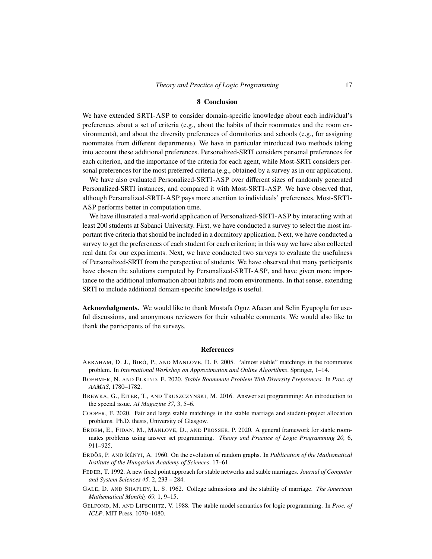#### 8 Conclusion

We have extended SRTI-ASP to consider domain-specific knowledge about each individual's preferences about a set of criteria (e.g., about the habits of their roommates and the room environments), and about the diversity preferences of dormitories and schools (e.g., for assigning roommates from different departments). We have in particular introduced two methods taking into account these additional preferences. Personalized-SRTI considers personal preferences for each criterion, and the importance of the criteria for each agent, while Most-SRTI considers personal preferences for the most preferred criteria (e.g., obtained by a survey as in our application).

We have also evaluated Personalized-SRTI-ASP over different sizes of randomly generated Personalized-SRTI instances, and compared it with Most-SRTI-ASP. We have observed that, although Personalized-SRTI-ASP pays more attention to individuals' preferences, Most-SRTI-ASP performs better in computation time.

We have illustrated a real-world application of Personalized-SRTI-ASP by interacting with at least 200 students at Sabanci University. First, we have conducted a survey to select the most important five criteria that should be included in a dormitory application. Next, we have conducted a survey to get the preferences of each student for each criterion; in this way we have also collected real data for our experiments. Next, we have conducted two surveys to evaluate the usefulness of Personalized-SRTI from the perspective of students. We have observed that many participants have chosen the solutions computed by Personalized-SRTI-ASP, and have given more importance to the additional information about habits and room environments. In that sense, extending SRTI to include additional domain-specific knowledge is useful.

Acknowledgments. We would like to thank Mustafa Oguz Afacan and Selin Eyupoglu for useful discussions, and anonymous reviewers for their valuable comments. We would also like to thank the participants of the surveys.

#### References

- <span id="page-16-3"></span>ABRAHAM, D. J., BIRÓ, P., AND MANLOVE, D. F. 2005. "almost stable" matchings in the roommates problem. In *International Workshop on Approximation and Online Algorithms*. Springer, 1–14.
- <span id="page-16-7"></span>BOEHMER, N. AND ELKIND, E. 2020. *Stable Roommate Problem With Diversity Preferences*. In *Proc. of AAMAS*, 1780–1782.
- <span id="page-16-5"></span>BREWKA, G., EITER, T., AND TRUSZCZYNSKI, M. 2016. Answer set programming: An introduction to the special issue. *AI Magazine 37,* 3, 5–6.
- <span id="page-16-2"></span>COOPER, F. 2020. Fair and large stable matchings in the stable marriage and student-project allocation problems. Ph.D. thesis, University of Glasgow.
- <span id="page-16-4"></span>ERDEM, E., FIDAN, M., MANLOVE, D., AND PROSSER, P. 2020. A general framework for stable roommates problems using answer set programming. *Theory and Practice of Logic Programming 20,* 6, 911–925.
- <span id="page-16-8"></span>ERDÖS, P. AND RÉNYI, A. 1960. On the evolution of random graphs. In *Publication of the Mathematical Institute of the Hungarian Academy of Sciences*. 17–61.
- <span id="page-16-1"></span>FEDER, T. 1992. A new fixed point approach for stable networks and stable marriages. *Journal of Computer and System Sciences 45,* 2, 233 – 284.
- <span id="page-16-0"></span>GALE, D. AND SHAPLEY, L. S. 1962. College admissions and the stability of marriage. *The American Mathematical Monthly 69,* 1, 9–15.
- <span id="page-16-6"></span>GELFOND, M. AND LIFSCHITZ, V. 1988. The stable model semantics for logic programming. In *Proc. of ICLP*. MIT Press, 1070–1080.